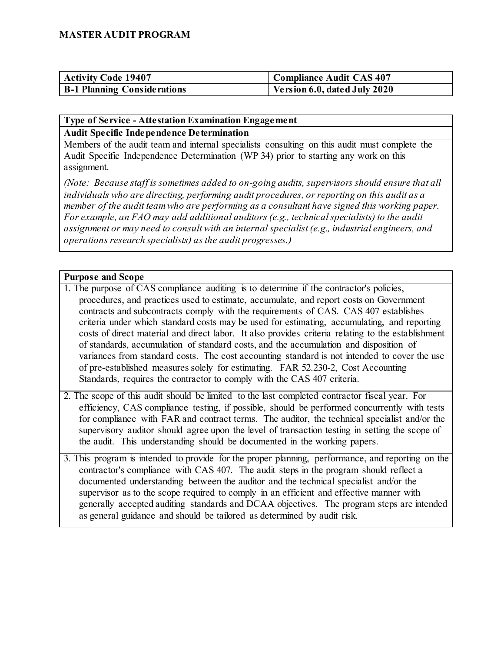| <b>Activity Code 19407</b>         | Compliance Audit CAS 407     |
|------------------------------------|------------------------------|
| <b>B-1 Planning Considerations</b> | Version 6.0, dated July 2020 |

#### **Type of Service - Attestation Examination Engagement Audit Specific Independence Determination**

Members of the audit team and internal specialists consulting on this audit must complete the Audit Specific Independence Determination (WP 34) prior to starting any work on this assignment.

*(Note: Because staff is sometimes added to on-going audits, supervisors should ensure that all individuals who are directing, performing audit procedures, or reporting on this audit as a member of the audit team who are performing as a consultant have signed this working paper. For example, an FAO may add additional auditors (e.g., technical specialists) to the audit assignment or may need to consult with an internal specialist (e.g., industrial engineers, and operations research specialists) as the audit progresses.)*

#### **Purpose and Scope**

- 1. The purpose of CAS compliance auditing is to determine if the contractor's policies, procedures, and practices used to estimate, accumulate, and report costs on Government contracts and subcontracts comply with the requirements of CAS. CAS 407 establishes criteria under which standard costs may be used for estimating, accumulating, and reporting costs of direct material and direct labor. It also provides criteria relating to the establishment of standards, accumulation of standard costs, and the accumulation and disposition of variances from standard costs. The cost accounting standard is not intended to cover the use of pre-established measures solely for estimating. FAR 52.230-2, Cost Accounting Standards, requires the contractor to comply with the CAS 407 criteria.
- 2. The scope of this audit should be limited to the last completed contractor fiscal year. For efficiency, CAS compliance testing, if possible, should be performed concurrently with tests for compliance with FAR and contract terms. The auditor, the technical specialist and/or the supervisory auditor should agree upon the level of transaction testing in setting the scope of the audit. This understanding should be documented in the working papers.
- 3. This program is intended to provide for the proper planning, performance, and reporting on the contractor's compliance with CAS 407. The audit steps in the program should reflect a documented understanding between the auditor and the technical specialist and/or the supervisor as to the scope required to comply in an efficient and effective manner with generally accepted auditing standards and DCAA objectives. The program steps are intended as general guidance and should be tailored as determined by audit risk.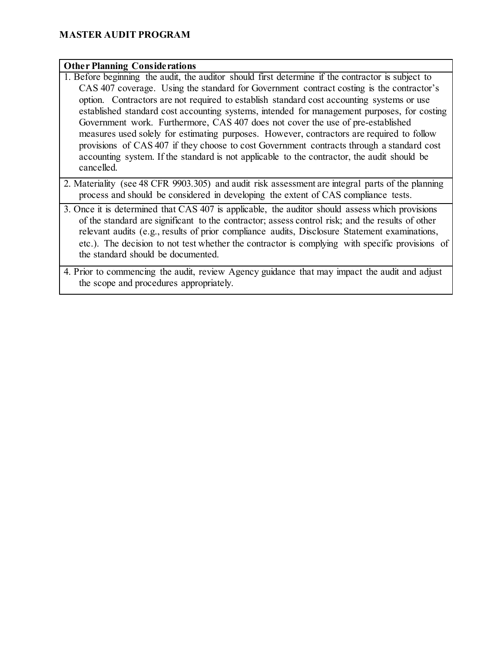#### **Other Planning Considerations**

- 1. Before beginning the audit, the auditor should first determine if the contractor is subject to CAS 407 coverage. Using the standard for Government contract costing is the contractor's option. Contractors are not required to establish standard cost accounting systems or use established standard cost accounting systems, intended for management purposes, for costing Government work. Furthermore, CAS 407 does not cover the use of pre-established measures used solely for estimating purposes. However, contractors are required to follow provisions of CAS 407 if they choose to cost Government contracts through a standard cost accounting system. If the standard is not applicable to the contractor, the audit should be cancelled.
- 2. Materiality (see 48 CFR 9903.305) and audit risk assessment are integral parts of the planning process and should be considered in developing the extent of CAS compliance tests.
- 3. Once it is determined that CAS 407 is applicable, the auditor should assess which provisions of the standard are significant to the contractor; assess control risk; and the results of other relevant audits (e.g., results of prior compliance audits, Disclosure Statement examinations, etc.). The decision to not test whether the contractor is complying with specific provisions of the standard should be documented.
- 4. Prior to commencing the audit, review Agency guidance that may impact the audit and adjust the scope and procedures appropriately.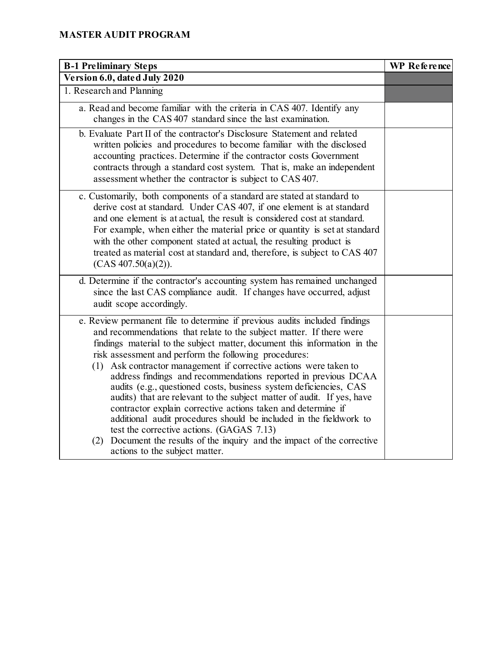| <b>B-1 Preliminary Steps</b>                                                                                                                                                                                                                                                                                                                                                                                                                                                                                                                                                                                                                                                                                                                                                                                                                                                          | <b>WP</b> Reference |
|---------------------------------------------------------------------------------------------------------------------------------------------------------------------------------------------------------------------------------------------------------------------------------------------------------------------------------------------------------------------------------------------------------------------------------------------------------------------------------------------------------------------------------------------------------------------------------------------------------------------------------------------------------------------------------------------------------------------------------------------------------------------------------------------------------------------------------------------------------------------------------------|---------------------|
| Version 6.0, dated July 2020                                                                                                                                                                                                                                                                                                                                                                                                                                                                                                                                                                                                                                                                                                                                                                                                                                                          |                     |
| 1. Research and Planning                                                                                                                                                                                                                                                                                                                                                                                                                                                                                                                                                                                                                                                                                                                                                                                                                                                              |                     |
| a. Read and become familiar with the criteria in CAS 407. Identify any<br>changes in the CAS 407 standard since the last examination.                                                                                                                                                                                                                                                                                                                                                                                                                                                                                                                                                                                                                                                                                                                                                 |                     |
| b. Evaluate Part II of the contractor's Disclosure Statement and related<br>written policies and procedures to become familiar with the disclosed<br>accounting practices. Determine if the contractor costs Government<br>contracts through a standard cost system. That is, make an independent<br>assessment whether the contractor is subject to CAS 407.                                                                                                                                                                                                                                                                                                                                                                                                                                                                                                                         |                     |
| c. Customarily, both components of a standard are stated at standard to<br>derive cost at standard. Under CAS 407, if one element is at standard<br>and one element is at actual, the result is considered cost at standard.<br>For example, when either the material price or quantity is set at standard<br>with the other component stated at actual, the resulting product is<br>treated as material cost at standard and, therefore, is subject to CAS 407<br>(CAS 407.50(a)(2)).                                                                                                                                                                                                                                                                                                                                                                                                |                     |
| d. Determine if the contractor's accounting system has remained unchanged<br>since the last CAS compliance audit. If changes have occurred, adjust<br>audit scope accordingly.                                                                                                                                                                                                                                                                                                                                                                                                                                                                                                                                                                                                                                                                                                        |                     |
| e. Review permanent file to determine if previous audits included findings<br>and recommendations that relate to the subject matter. If there were<br>findings material to the subject matter, document this information in the<br>risk assessment and perform the following procedures:<br>Ask contractor management if corrective actions were taken to<br>(1)<br>address findings and recommendations reported in previous DCAA<br>audits (e.g., questioned costs, business system deficiencies, CAS<br>audits) that are relevant to the subject matter of audit. If yes, have<br>contractor explain corrective actions taken and determine if<br>additional audit procedures should be included in the fieldwork to<br>test the corrective actions. (GAGAS 7.13)<br>Document the results of the inquiry and the impact of the corrective<br>(2)<br>actions to the subject matter. |                     |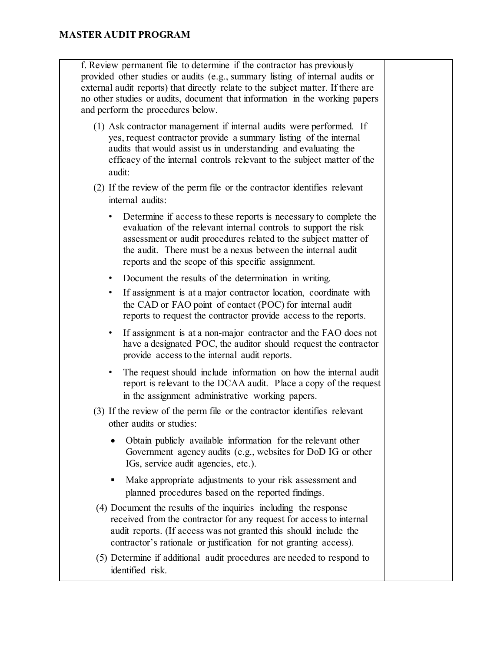f. Review permanent file to determine if the contractor has previously provided other studies or audits (e.g., summary listing of internal audits or external audit reports) that directly relate to the subject matter. If there are no other studies or audits, document that information in the working papers and perform the procedures below.

(1) Ask contractor management if internal audits were performed. If yes, request contractor provide a summary listing of the internal audits that would assist us in understanding and evaluating the efficacy of the internal controls relevant to the subject matter of the audit:

(2) If the review of the perm file or the contractor identifies relevant internal audits:

- Determine if access to these reports is necessary to complete the evaluation of the relevant internal controls to support the risk assessment or audit procedures related to the subject matter of the audit. There must be a nexus between the internal audit reports and the scope of this specific assignment.
- Document the results of the determination in writing.
- If assignment is at a major contractor location, coordinate with the CAD or FAO point of contact (POC) for internal audit reports to request the contractor provide access to the reports.
- If assignment is at a non-major contractor and the FAO does not have a designated POC, the auditor should request the contractor provide access to the internal audit reports.
- The request should include information on how the internal audit report is relevant to the DCAA audit. Place a copy of the request in the assignment administrative working papers.
- (3) If the review of the perm file or the contractor identifies relevant other audits or studies:
	- Obtain publicly available information for the relevant other Government agency audits (e.g., websites for DoD IG or other IGs, service audit agencies, etc.).
	- Make appropriate adjustments to your risk assessment and planned procedures based on the reported findings.
- (4) Document the results of the inquiries including the response received from the contractor for any request for access to internal audit reports. (If access was not granted this should include the contractor's rationale or justification for not granting access).
- (5) Determine if additional audit procedures are needed to respond to identified risk.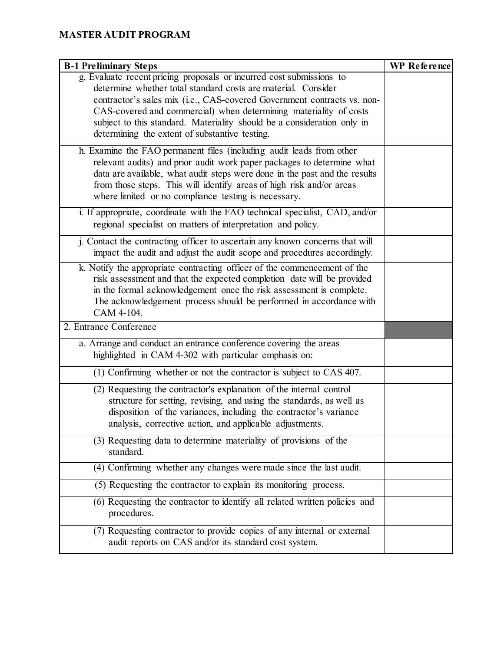| <b>B-1 Preliminary Steps</b>                                                                                                                            | <b>WP</b> Reference |
|---------------------------------------------------------------------------------------------------------------------------------------------------------|---------------------|
| g. Evaluate recent pricing proposals or incurred cost submissions to                                                                                    |                     |
| determine whether total standard costs are material. Consider                                                                                           |                     |
| contractor's sales mix (i.e., CAS-covered Government contracts vs. non-                                                                                 |                     |
| CAS-covered and commercial) when determining materiality of costs<br>subject to this standard. Materiality should be a consideration only in            |                     |
| determining the extent of substantive testing.                                                                                                          |                     |
|                                                                                                                                                         |                     |
| h. Examine the FAO permanent files (including audit leads from other<br>relevant audits) and prior audit work paper packages to determine what          |                     |
| data are available, what audit steps were done in the past and the results                                                                              |                     |
| from those steps. This will identify areas of high risk and/or areas                                                                                    |                     |
| where limited or no compliance testing is necessary.                                                                                                    |                     |
| i. If appropriate, coordinate with the FAO technical specialist, CAD, and/or                                                                            |                     |
| regional specialist on matters of interpretation and policy.                                                                                            |                     |
|                                                                                                                                                         |                     |
| j. Contact the contracting officer to ascertain any known concerns that will<br>impact the audit and adjust the audit scope and procedures accordingly. |                     |
|                                                                                                                                                         |                     |
| k. Notify the appropriate contracting officer of the commencement of the                                                                                |                     |
| risk assessment and that the expected completion date will be provided<br>in the formal acknowledgement once the risk assessment is complete.           |                     |
| The acknowledgement process should be performed in accordance with                                                                                      |                     |
| CAM 4-104.                                                                                                                                              |                     |
| 2. Entrance Conference                                                                                                                                  |                     |
| a. Arrange and conduct an entrance conference covering the areas                                                                                        |                     |
| highlighted in CAM 4-302 with particular emphasis on:                                                                                                   |                     |
| (1) Confirming whether or not the contractor is subject to CAS 407.                                                                                     |                     |
| (2) Requesting the contractor's explanation of the internal control                                                                                     |                     |
| structure for setting, revising, and using the standards, as well as                                                                                    |                     |
| disposition of the variances, including the contractor's variance                                                                                       |                     |
| analysis, corrective action, and applicable adjustments.                                                                                                |                     |
| (3) Requesting data to determine materiality of provisions of the                                                                                       |                     |
| standard.                                                                                                                                               |                     |
| (4) Confirming whether any changes were made since the last audit.                                                                                      |                     |
| (5) Requesting the contractor to explain its monitoring process.                                                                                        |                     |
| (6) Requesting the contractor to identify all related written policies and                                                                              |                     |
| procedures.                                                                                                                                             |                     |
| (7) Requesting contractor to provide copies of any internal or external                                                                                 |                     |
| audit reports on CAS and/or its standard cost system.                                                                                                   |                     |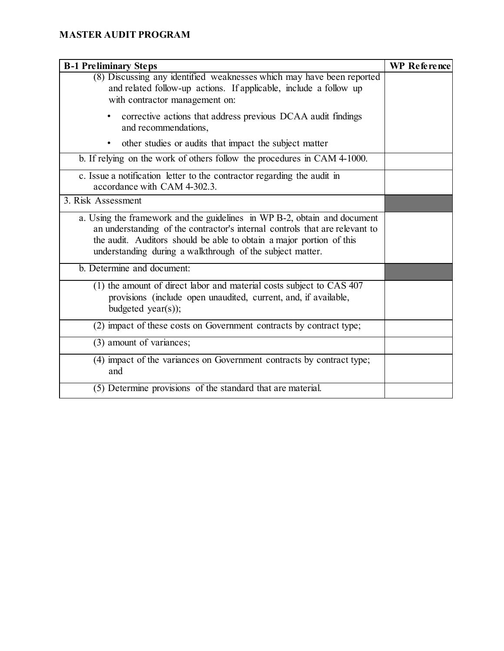| <b>B-1 Preliminary Steps</b>                                                                                                                                                                                                                                                                 | <b>WP</b> Reference |
|----------------------------------------------------------------------------------------------------------------------------------------------------------------------------------------------------------------------------------------------------------------------------------------------|---------------------|
| (8) Discussing any identified weaknesses which may have been reported<br>and related follow-up actions. If applicable, include a follow up<br>with contractor management on:                                                                                                                 |                     |
| corrective actions that address previous DCAA audit findings<br>٠<br>and recommendations,                                                                                                                                                                                                    |                     |
| other studies or audits that impact the subject matter<br>$\bullet$                                                                                                                                                                                                                          |                     |
| b. If relying on the work of others follow the procedures in CAM 4-1000.                                                                                                                                                                                                                     |                     |
| c. Issue a notification letter to the contractor regarding the audit in<br>accordance with CAM 4-302.3.                                                                                                                                                                                      |                     |
| 3. Risk Assessment                                                                                                                                                                                                                                                                           |                     |
| a. Using the framework and the guidelines in WP B-2, obtain and document<br>an understanding of the contractor's internal controls that are relevant to<br>the audit. Auditors should be able to obtain a major portion of this<br>understanding during a walkthrough of the subject matter. |                     |
| b. Determine and document:                                                                                                                                                                                                                                                                   |                     |
| (1) the amount of direct labor and material costs subject to CAS 407<br>provisions (include open unaudited, current, and, if available,<br>budgeted year(s));                                                                                                                                |                     |
| (2) impact of these costs on Government contracts by contract type;                                                                                                                                                                                                                          |                     |
| (3) amount of variances;                                                                                                                                                                                                                                                                     |                     |
| (4) impact of the variances on Government contracts by contract type;<br>and                                                                                                                                                                                                                 |                     |
| (5) Determine provisions of the standard that are material.                                                                                                                                                                                                                                  |                     |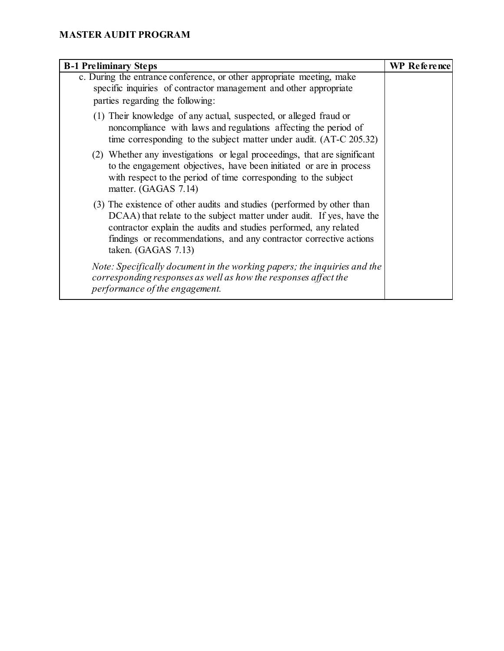| <b>B-1 Preliminary Steps</b>                                                                                                                                                                                                                                                                                       | <b>WP</b> Reference |
|--------------------------------------------------------------------------------------------------------------------------------------------------------------------------------------------------------------------------------------------------------------------------------------------------------------------|---------------------|
| c. During the entrance conference, or other appropriate meeting, make<br>specific inquiries of contractor management and other appropriate<br>parties regarding the following:                                                                                                                                     |                     |
| (1) Their knowledge of any actual, suspected, or alleged fraud or<br>noncompliance with laws and regulations affecting the period of<br>time corresponding to the subject matter under audit. (AT-C 205.32)                                                                                                        |                     |
| (2) Whether any investigations or legal proceedings, that are significant<br>to the engagement objectives, have been initiated or are in process<br>with respect to the period of time corresponding to the subject<br>matter. (GAGAS 7.14)                                                                        |                     |
| (3) The existence of other audits and studies (performed by other than<br>DCAA) that relate to the subject matter under audit. If yes, have the<br>contractor explain the audits and studies performed, any related<br>findings or recommendations, and any contractor corrective actions<br>taken. $(GAGAS 7.13)$ |                     |
| Note: Specifically document in the working papers; the inquiries and the<br>corresponding responses as well as how the responses affect the<br>performance of the engagement.                                                                                                                                      |                     |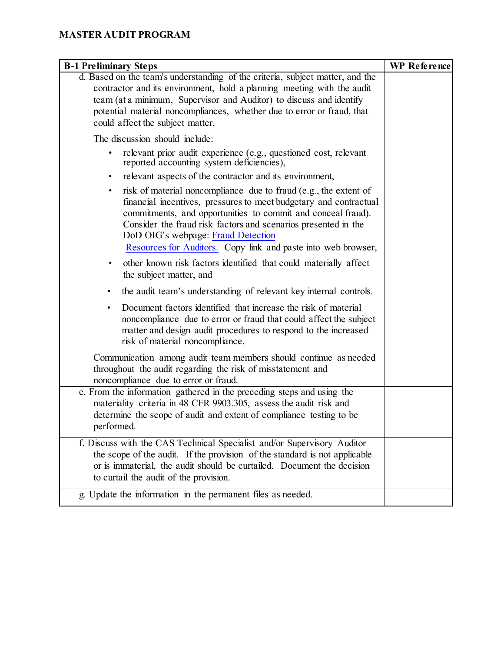| <b>B-1 Preliminary Steps</b>                                                                                                                                                                                                                                                                                                                                                                | WP Reference |
|---------------------------------------------------------------------------------------------------------------------------------------------------------------------------------------------------------------------------------------------------------------------------------------------------------------------------------------------------------------------------------------------|--------------|
| d. Based on the team's understanding of the criteria, subject matter, and the<br>contractor and its environment, hold a planning meeting with the audit<br>team (at a minimum, Supervisor and Auditor) to discuss and identify<br>potential material noncompliances, whether due to error or fraud, that<br>could affect the subject matter.                                                |              |
|                                                                                                                                                                                                                                                                                                                                                                                             |              |
| The discussion should include:                                                                                                                                                                                                                                                                                                                                                              |              |
| relevant prior audit experience (e.g., questioned cost, relevant<br>reported accounting system deficiencies),                                                                                                                                                                                                                                                                               |              |
| relevant aspects of the contractor and its environment,<br>$\bullet$                                                                                                                                                                                                                                                                                                                        |              |
| risk of material noncompliance due to fraud (e.g., the extent of<br>$\bullet$<br>financial incentives, pressures to meet budgetary and contractual<br>commitments, and opportunities to commit and conceal fraud).<br>Consider the fraud risk factors and scenarios presented in the<br>DoD OIG's webpage: Fraud Detection<br>Resources for Auditors. Copy link and paste into web browser, |              |
| other known risk factors identified that could materially affect<br>٠<br>the subject matter, and                                                                                                                                                                                                                                                                                            |              |
| the audit team's understanding of relevant key internal controls.<br>٠                                                                                                                                                                                                                                                                                                                      |              |
| Document factors identified that increase the risk of material<br>$\bullet$<br>noncompliance due to error or fraud that could affect the subject<br>matter and design audit procedures to respond to the increased<br>risk of material noncompliance.                                                                                                                                       |              |
| Communication among audit team members should continue as needed<br>throughout the audit regarding the risk of misstatement and<br>noncompliance due to error or fraud.                                                                                                                                                                                                                     |              |
| e. From the information gathered in the preceding steps and using the<br>materiality criteria in 48 CFR 9903.305, assess the audit risk and                                                                                                                                                                                                                                                 |              |
| determine the scope of audit and extent of compliance testing to be<br>performed.                                                                                                                                                                                                                                                                                                           |              |
| f. Discuss with the CAS Technical Specialist and/or Supervisory Auditor<br>the scope of the audit. If the provision of the standard is not applicable<br>or is immaterial, the audit should be curtailed. Document the decision<br>to curtail the audit of the provision.                                                                                                                   |              |
| g. Update the information in the permanent files as needed.                                                                                                                                                                                                                                                                                                                                 |              |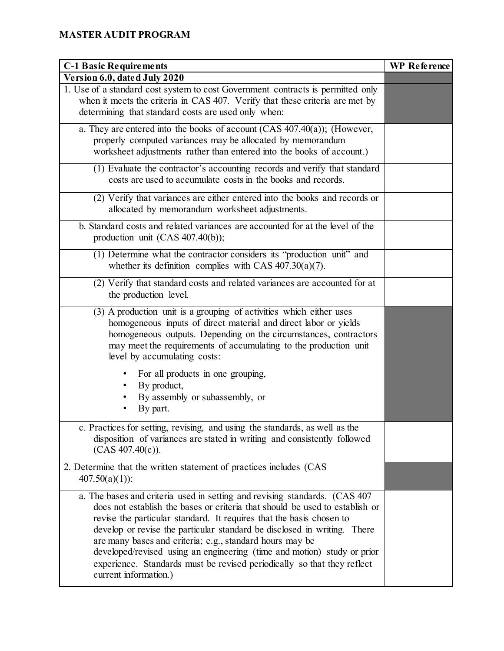| <b>C-1 Basic Requirements</b>                                                                                                                                                                                                                                                                                                                                                                                                                                                                                                                             | <b>WP</b> Reference |
|-----------------------------------------------------------------------------------------------------------------------------------------------------------------------------------------------------------------------------------------------------------------------------------------------------------------------------------------------------------------------------------------------------------------------------------------------------------------------------------------------------------------------------------------------------------|---------------------|
| Version 6.0, dated July 2020                                                                                                                                                                                                                                                                                                                                                                                                                                                                                                                              |                     |
| 1. Use of a standard cost system to cost Government contracts is permitted only<br>when it meets the criteria in CAS 407. Verify that these criteria are met by<br>determining that standard costs are used only when:                                                                                                                                                                                                                                                                                                                                    |                     |
| a. They are entered into the books of account $(CAS 407.40(a))$ ; (However,<br>properly computed variances may be allocated by memorandum<br>worksheet adjustments rather than entered into the books of account.)                                                                                                                                                                                                                                                                                                                                        |                     |
| (1) Evaluate the contractor's accounting records and verify that standard<br>costs are used to accumulate costs in the books and records.                                                                                                                                                                                                                                                                                                                                                                                                                 |                     |
| (2) Verify that variances are either entered into the books and records or<br>allocated by memorandum worksheet adjustments.                                                                                                                                                                                                                                                                                                                                                                                                                              |                     |
| b. Standard costs and related variances are accounted for at the level of the<br>production unit $(CAS 407.40(b));$                                                                                                                                                                                                                                                                                                                                                                                                                                       |                     |
| (1) Determine what the contractor considers its "production unit" and<br>whether its definition complies with CAS $407.30(a)(7)$ .                                                                                                                                                                                                                                                                                                                                                                                                                        |                     |
| (2) Verify that standard costs and related variances are accounted for at<br>the production level.                                                                                                                                                                                                                                                                                                                                                                                                                                                        |                     |
| (3) A production unit is a grouping of activities which either uses<br>homogeneous inputs of direct material and direct labor or yields<br>homogeneous outputs. Depending on the circumstances, contractors<br>may meet the requirements of accumulating to the production unit<br>level by accumulating costs:                                                                                                                                                                                                                                           |                     |
| For all products in one grouping,<br>By product,<br>By assembly or subassembly, or<br>By part.                                                                                                                                                                                                                                                                                                                                                                                                                                                            |                     |
| c. Practices for setting, revising, and using the standards, as well as the<br>disposition of variances are stated in writing and consistently followed<br>$(CAS 407.40(c))$ .                                                                                                                                                                                                                                                                                                                                                                            |                     |
| 2. Determine that the written statement of practices includes (CAS<br>$407.50(a)(1)$ :                                                                                                                                                                                                                                                                                                                                                                                                                                                                    |                     |
| a. The bases and criteria used in setting and revising standards. (CAS 407<br>does not establish the bases or criteria that should be used to establish or<br>revise the particular standard. It requires that the basis chosen to<br>develop or revise the particular standard be disclosed in writing. There<br>are many bases and criteria; e.g., standard hours may be<br>developed/revised using an engineering (time and motion) study or prior<br>experience. Standards must be revised periodically so that they reflect<br>current information.) |                     |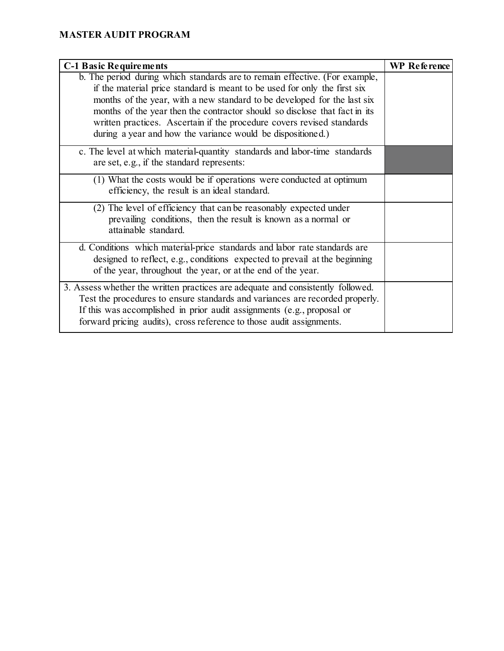| <b>C-1 Basic Requirements</b>                                                                                                                                                                                                                                                                                                                                                                                                                               | <b>WP</b> Reference |
|-------------------------------------------------------------------------------------------------------------------------------------------------------------------------------------------------------------------------------------------------------------------------------------------------------------------------------------------------------------------------------------------------------------------------------------------------------------|---------------------|
| b. The period during which standards are to remain effective. (For example,<br>if the material price standard is meant to be used for only the first six<br>months of the year, with a new standard to be developed for the last six<br>months of the year then the contractor should so disclose that fact in its<br>written practices. Ascertain if the procedure covers revised standards<br>during a year and how the variance would be dispositioned.) |                     |
| c. The level at which material-quantity standards and labor-time standards<br>are set, e.g., if the standard represents:                                                                                                                                                                                                                                                                                                                                    |                     |
| (1) What the costs would be if operations were conducted at optimum<br>efficiency, the result is an ideal standard.                                                                                                                                                                                                                                                                                                                                         |                     |
| (2) The level of efficiency that can be reasonably expected under<br>prevailing conditions, then the result is known as a normal or<br>attainable standard.                                                                                                                                                                                                                                                                                                 |                     |
| d. Conditions which material-price standards and labor rate standards are<br>designed to reflect, e.g., conditions expected to prevail at the beginning<br>of the year, throughout the year, or at the end of the year.                                                                                                                                                                                                                                     |                     |
| 3. Assess whether the written practices are adequate and consistently followed.<br>Test the procedures to ensure standards and variances are recorded properly.<br>If this was accomplished in prior audit assignments (e.g., proposal or<br>forward pricing audits), cross reference to those audit assignments.                                                                                                                                           |                     |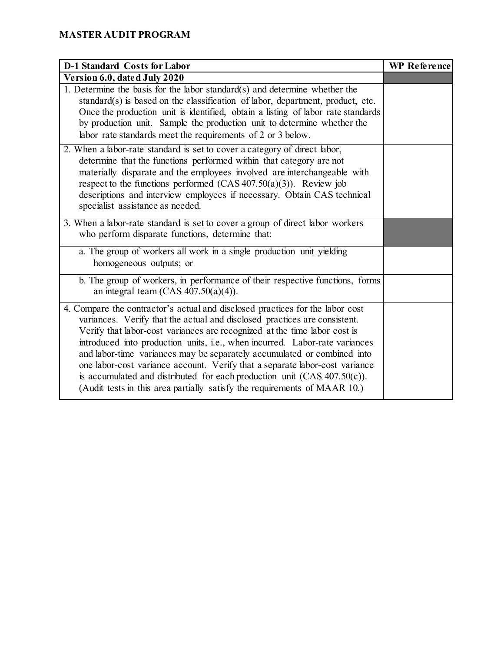| <b>D-1 Standard Costs for Labor</b>                                                                                                                                                                                                                                                                                                                                                                                                                                                                                                                                                                                                          | WP Reference |
|----------------------------------------------------------------------------------------------------------------------------------------------------------------------------------------------------------------------------------------------------------------------------------------------------------------------------------------------------------------------------------------------------------------------------------------------------------------------------------------------------------------------------------------------------------------------------------------------------------------------------------------------|--------------|
| Version 6.0, dated July 2020                                                                                                                                                                                                                                                                                                                                                                                                                                                                                                                                                                                                                 |              |
| 1. Determine the basis for the labor standard $(s)$ and determine whether the<br>standard(s) is based on the classification of labor, department, product, etc.<br>Once the production unit is identified, obtain a listing of labor rate standards<br>by production unit. Sample the production unit to determine whether the<br>labor rate standards meet the requirements of 2 or 3 below.                                                                                                                                                                                                                                                |              |
| 2. When a labor-rate standard is set to cover a category of direct labor,<br>determine that the functions performed within that category are not<br>materially disparate and the employees involved are interchangeable with<br>respect to the functions performed $(CAS 407.50(a)(3))$ . Review job<br>descriptions and interview employees if necessary. Obtain CAS technical<br>specialist assistance as needed.                                                                                                                                                                                                                          |              |
| 3. When a labor-rate standard is set to cover a group of direct labor workers<br>who perform disparate functions, determine that:                                                                                                                                                                                                                                                                                                                                                                                                                                                                                                            |              |
| a. The group of workers all work in a single production unit yielding<br>homogeneous outputs; or                                                                                                                                                                                                                                                                                                                                                                                                                                                                                                                                             |              |
| b. The group of workers, in performance of their respective functions, forms<br>an integral team (CAS $407.50(a)(4)$ ).                                                                                                                                                                                                                                                                                                                                                                                                                                                                                                                      |              |
| 4. Compare the contractor's actual and disclosed practices for the labor cost<br>variances. Verify that the actual and disclosed practices are consistent.<br>Verify that labor-cost variances are recognized at the time labor cost is<br>introduced into production units, i.e., when incurred. Labor-rate variances<br>and labor-time variances may be separately accumulated or combined into<br>one labor-cost variance account. Verify that a separate labor-cost variance<br>is accumulated and distributed for each production unit $(CAS 407.50(c))$ .<br>(Audit tests in this area partially satisfy the requirements of MAAR 10.) |              |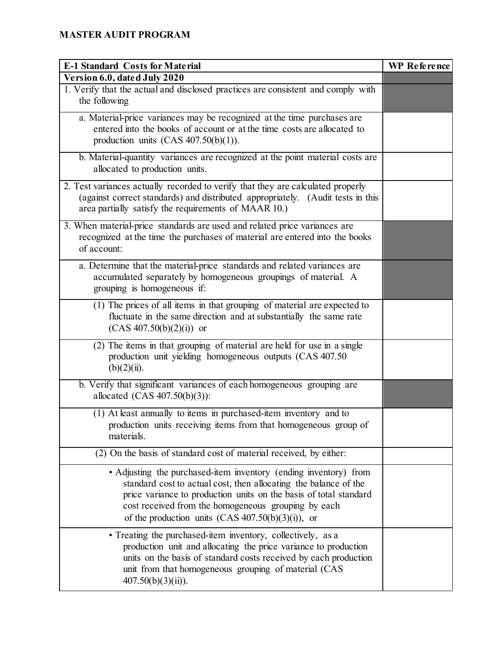| <b>E-1 Standard Costs for Material</b>                                                                                                                                                                                                                                                                                   | WP Reference |
|--------------------------------------------------------------------------------------------------------------------------------------------------------------------------------------------------------------------------------------------------------------------------------------------------------------------------|--------------|
| Version 6.0, dated July 2020                                                                                                                                                                                                                                                                                             |              |
| 1. Verify that the actual and disclosed practices are consistent and comply with<br>the following                                                                                                                                                                                                                        |              |
| a. Material-price variances may be recognized at the time purchases are<br>entered into the books of account or at the time costs are allocated to<br>production units $(CAS 407.50(b)(1))$ .                                                                                                                            |              |
| b. Material-quantity variances are recognized at the point material costs are<br>allocated to production units.                                                                                                                                                                                                          |              |
| 2. Test variances actually recorded to verify that they are calculated properly<br>(against correct standards) and distributed appropriately. (Audit tests in this<br>area partially satisfy the requirements of MAAR 10.)                                                                                               |              |
| 3. When material-price standards are used and related price variances are<br>recognized at the time the purchases of material are entered into the books<br>of account:                                                                                                                                                  |              |
| a. Determine that the material-price standards and related variances are<br>accumulated separately by homogeneous groupings of material. A<br>grouping is homogeneous if:                                                                                                                                                |              |
| (1) The prices of all items in that grouping of material are expected to<br>fluctuate in the same direction and at substantially the same rate<br>$(CAS 407.50(b)(2)(i))$ or                                                                                                                                             |              |
| (2) The items in that grouping of material are held for use in a single<br>production unit yielding homogeneous outputs (CAS 407.50<br>$(b)(2)(ii)$ .                                                                                                                                                                    |              |
| b. Verify that significant variances of each homogeneous grouping are<br>allocated (CAS 407.50(b)(3)):                                                                                                                                                                                                                   |              |
| (1) At least annually to items in purchased-item inventory and to<br>production units receiving items from that homogeneous group of<br>materials.                                                                                                                                                                       |              |
| (2) On the basis of standard cost of material received, by either:                                                                                                                                                                                                                                                       |              |
| • Adjusting the purchased-item inventory (ending inventory) from<br>standard cost to actual cost, then allocating the balance of the<br>price variance to production units on the basis of total standard<br>cost received from the homogeneous grouping by each<br>of the production units $(CAS 407.50(b)(3)(i))$ , or |              |
| • Treating the purchased-item inventory, collectively, as a<br>production unit and allocating the price variance to production<br>units on the basis of standard costs received by each production<br>unit from that homogeneous grouping of material (CAS<br>$407.50(b)(3)(ii)$ .                                       |              |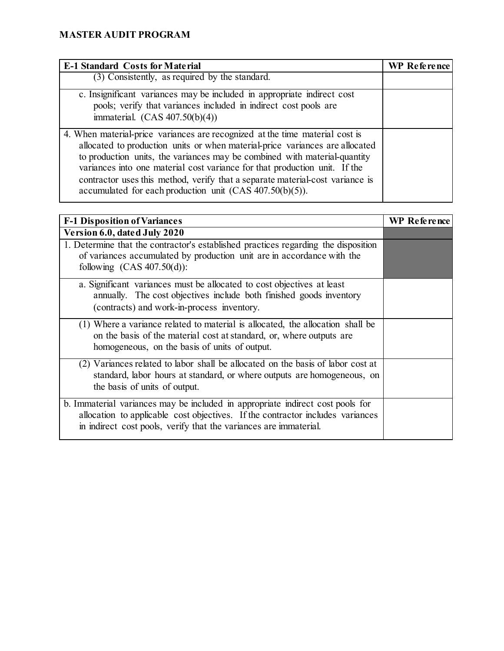| <b>E-1 Standard Costs for Material</b>                                                                                                                                                                                                                                                                                                                                                                                                                                  | <b>WP</b> Reference |
|-------------------------------------------------------------------------------------------------------------------------------------------------------------------------------------------------------------------------------------------------------------------------------------------------------------------------------------------------------------------------------------------------------------------------------------------------------------------------|---------------------|
| (3) Consistently, as required by the standard.                                                                                                                                                                                                                                                                                                                                                                                                                          |                     |
| c. Insignificant variances may be included in appropriate indirect cost<br>pools; verify that variances included in indirect cost pools are<br>immaterial. $(CAS 407.50(b)(4))$                                                                                                                                                                                                                                                                                         |                     |
| 4. When material-price variances are recognized at the time material cost is<br>allocated to production units or when material-price variances are allocated<br>to production units, the variances may be combined with material-quantity<br>variances into one material cost variance for that production unit. If the<br>contractor uses this method, verify that a separate material-cost variance is<br>accumulated for each production unit $(CAS 407.50(b)(5))$ . |                     |

| <b>F-1 Disposition of Variances</b>                                                                                                                                                                                                   | WP Reference |
|---------------------------------------------------------------------------------------------------------------------------------------------------------------------------------------------------------------------------------------|--------------|
| Version 6.0, dated July 2020                                                                                                                                                                                                          |              |
| 1. Determine that the contractor's established practices regarding the disposition<br>of variances accumulated by production unit are in accordance with the<br>following $(CAS 407.50(d))$ :                                         |              |
| a. Significant variances must be allocated to cost objectives at least<br>annually. The cost objectives include both finished goods inventory<br>(contracts) and work-in-process inventory.                                           |              |
| (1) Where a variance related to material is allocated, the allocation shall be<br>on the basis of the material cost at standard, or, where outputs are<br>homogeneous, on the basis of units of output.                               |              |
| (2) Variances related to labor shall be allocated on the basis of labor cost at<br>standard, labor hours at standard, or where outputs are homogeneous, on<br>the basis of units of output.                                           |              |
| b. Immaterial variances may be included in appropriate indirect cost pools for<br>allocation to applicable cost objectives. If the contractor includes variances<br>in indirect cost pools, verify that the variances are immaterial. |              |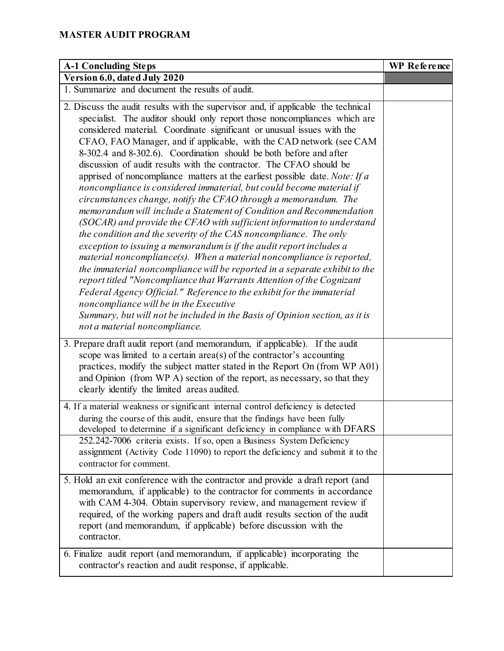| <b>A-1 Concluding Steps</b>                                                                                                                                                                                                                                                                                                                                                                                                                                                                                                                                                                                                                                                                                                                                                                                                                                                                                                                                                                                                                                                                                                                                                                                                                                                                                                                                                                                                                              | WP Reference |
|----------------------------------------------------------------------------------------------------------------------------------------------------------------------------------------------------------------------------------------------------------------------------------------------------------------------------------------------------------------------------------------------------------------------------------------------------------------------------------------------------------------------------------------------------------------------------------------------------------------------------------------------------------------------------------------------------------------------------------------------------------------------------------------------------------------------------------------------------------------------------------------------------------------------------------------------------------------------------------------------------------------------------------------------------------------------------------------------------------------------------------------------------------------------------------------------------------------------------------------------------------------------------------------------------------------------------------------------------------------------------------------------------------------------------------------------------------|--------------|
| Version 6.0, dated July 2020                                                                                                                                                                                                                                                                                                                                                                                                                                                                                                                                                                                                                                                                                                                                                                                                                                                                                                                                                                                                                                                                                                                                                                                                                                                                                                                                                                                                                             |              |
| 1. Summarize and document the results of audit.                                                                                                                                                                                                                                                                                                                                                                                                                                                                                                                                                                                                                                                                                                                                                                                                                                                                                                                                                                                                                                                                                                                                                                                                                                                                                                                                                                                                          |              |
| 2. Discuss the audit results with the supervisor and, if applicable the technical<br>specialist. The auditor should only report those noncompliances which are<br>considered material. Coordinate significant or unusual issues with the<br>CFAO, FAO Manager, and if applicable, with the CAD network (see CAM<br>8-302.4 and 8-302.6). Coordination should be both before and after<br>discussion of audit results with the contractor. The CFAO should be<br>apprised of noncompliance matters at the earliest possible date. Note: If $a$<br>noncompliance is considered immaterial, but could become material if<br>circumstances change, notify the CFAO through a memorandum. The<br>memorandum will include a Statement of Condition and Recommendation<br>(SOCAR) and provide the CFAO with sufficient information to understand<br>the condition and the severity of the CAS noncompliance. The only<br>exception to issuing a memorandum is if the audit report includes a<br>material noncompliance(s). When a material noncompliance is reported,<br>the immaterial noncompliance will be reported in a separate exhibit to the<br>report titled "Noncompliance that Warrants Attention of the Cognizant<br>Federal Agency Official." Reference to the exhibit for the immaterial<br>noncompliance will be in the Executive<br>Summary, but will not be included in the Basis of Opinion section, as it is<br>not a material noncompliance. |              |
| 3. Prepare draft audit report (and memorandum, if applicable). If the audit<br>scope was limited to a certain area(s) of the contractor's accounting<br>practices, modify the subject matter stated in the Report On (from WP A01)<br>and Opinion (from WP A) section of the report, as necessary, so that they<br>clearly identify the limited areas audited.                                                                                                                                                                                                                                                                                                                                                                                                                                                                                                                                                                                                                                                                                                                                                                                                                                                                                                                                                                                                                                                                                           |              |
| 4. If a material weakness or significant internal control deficiency is detected<br>during the course of this audit, ensure that the findings have been fully<br>developed to determine if a significant deficiency in compliance with DFARS                                                                                                                                                                                                                                                                                                                                                                                                                                                                                                                                                                                                                                                                                                                                                                                                                                                                                                                                                                                                                                                                                                                                                                                                             |              |
| 252.242-7006 criteria exists. If so, open a Business System Deficiency<br>assignment (Activity Code 11090) to report the deficiency and submit it to the<br>contractor for comment.                                                                                                                                                                                                                                                                                                                                                                                                                                                                                                                                                                                                                                                                                                                                                                                                                                                                                                                                                                                                                                                                                                                                                                                                                                                                      |              |
| 5. Hold an exit conference with the contractor and provide a draft report (and<br>memorandum, if applicable) to the contractor for comments in accordance<br>with CAM 4-304. Obtain supervisory review, and management review if<br>required, of the working papers and draft audit results section of the audit<br>report (and memorandum, if applicable) before discussion with the<br>contractor.                                                                                                                                                                                                                                                                                                                                                                                                                                                                                                                                                                                                                                                                                                                                                                                                                                                                                                                                                                                                                                                     |              |
| 6. Finalize audit report (and memorandum, if applicable) incorporating the<br>contractor's reaction and audit response, if applicable.                                                                                                                                                                                                                                                                                                                                                                                                                                                                                                                                                                                                                                                                                                                                                                                                                                                                                                                                                                                                                                                                                                                                                                                                                                                                                                                   |              |